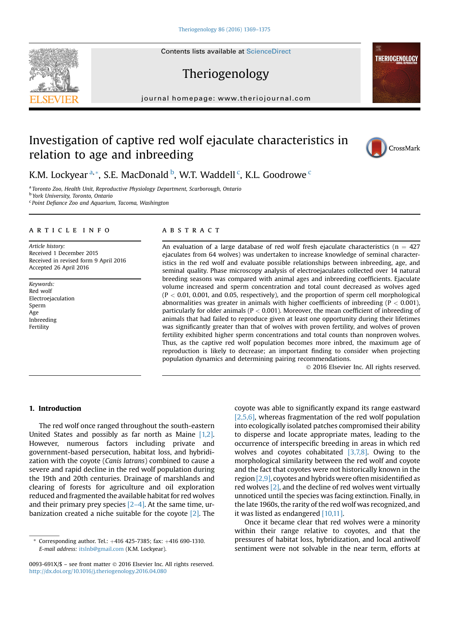# Theriogenology

journal homepage: [www.theriojournal.com](http://www.theriojournal.com)

# Investigation of captive red wolf ejaculate characteristics in relation to age and inbreeding



**THERIOGENOLOGY** 

# K.M. Lockyear <sup>a,</sup>\*, S.E. MacDonald <sup>b</sup>, W.T. Waddell <sup>c</sup>, K.L. Goodrowe <sup>c</sup>

a Toronto Zoo, Health Unit, Reproductive Physiology Department, Scarborough, Ontario

<sup>b</sup> York University, Toronto, Ontario

<sup>c</sup> Point Defiance Zoo and Aquarium, Tacoma, Washington

#### article info

Article history: Received 1 December 2015 Received in revised form 9 April 2016 Accepted 26 April 2016

Keywords: Red wolf Electroejaculation Sperm Age Inbreeding Fertility

### **ABSTRACT**

An evaluation of a large database of red wolf fresh ejaculate characteristics ( $n = 427$ ejaculates from 64 wolves) was undertaken to increase knowledge of seminal characteristics in the red wolf and evaluate possible relationships between inbreeding, age, and seminal quality. Phase microscopy analysis of electroejaculates collected over 14 natural breeding seasons was compared with animal ages and inbreeding coefficients. Ejaculate volume increased and sperm concentration and total count decreased as wolves aged  $(P < 0.01, 0.001,$  and 0.05, respectively), and the proportion of sperm cell morphological abnormalities was greater in animals with higher coefficients of inbreeding ( $P < 0.001$ ), particularly for older animals ( $P < 0.001$ ). Moreover, the mean coefficient of inbreeding of animals that had failed to reproduce given at least one opportunity during their lifetimes was significantly greater than that of wolves with proven fertility, and wolves of proven fertility exhibited higher sperm concentrations and total counts than nonproven wolves. Thus, as the captive red wolf population becomes more inbred, the maximum age of reproduction is likely to decrease; an important finding to consider when projecting population dynamics and determining pairing recommendations.

2016 Elsevier Inc. All rights reserved.

#### 1. Introduction

The red wolf once ranged throughout the south-eastern United States and possibly as far north as Maine [\[1,2\].](#page-5-0) However, numerous factors including private and government-based persecution, habitat loss, and hybridization with the coyote (Canis latrans) combined to cause a severe and rapid decline in the red wolf population during the 19th and 20th centuries. Drainage of marshlands and clearing of forests for agriculture and oil exploration reduced and fragmented the available habitat for red wolves and their primary prey species  $[2-4]$  $[2-4]$ . At the same time, urbanization created a niche suitable for the coyote  $[2]$ . The coyote was able to significantly expand its range eastward [\[2,5,6\],](#page-5-0) whereas fragmentation of the red wolf population into ecologically isolated patches compromised their ability to disperse and locate appropriate mates, leading to the occurrence of interspecific breeding in areas in which red wolves and coyotes cohabitated [\[3,7,8\].](#page-5-0) Owing to the morphological similarity between the red wolf and coyote and the fact that coyotes were not historically known in the region  $[2,9]$ , coyotes and hybrids were often misidentified as red wolves [\[2\]](#page-5-0), and the decline of red wolves went virtually unnoticed until the species was facing extinction. Finally, in the late 1960s, the rarity of the red wolf was recognized, and it was listed as endangered [\[10,11\].](#page-5-0)

Once it became clear that red wolves were a minority within their range relative to coyotes, and that the pressures of habitat loss, hybridization, and local antiwolf sentiment were not solvable in the near term, efforts at



 $*$  Corresponding author. Tel.:  $+416$  425-7385; fax:  $+416$  690-1310. E-mail address: [itslnb@gmail.com](mailto:itslnb@gmail.com) (K.M. Lockyear).

<sup>0093-691</sup>X/\$ - see front matter © 2016 Elsevier Inc. All rights reserved. <http://dx.doi.org/10.1016/j.theriogenology.2016.04.080>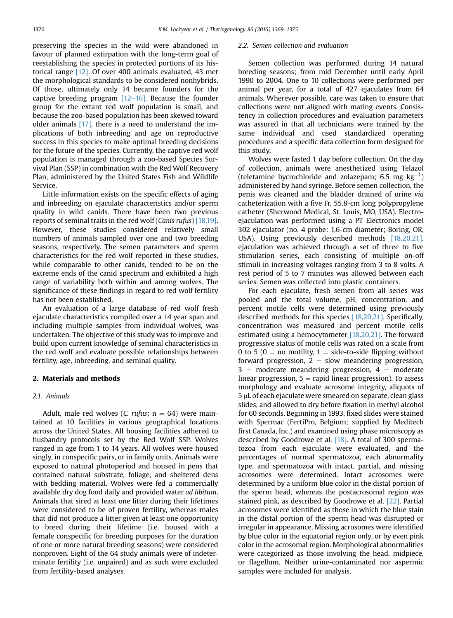preserving the species in the wild were abandoned in favour of planned extirpation with the long-term goal of reestablishing the species in protected portions of its historical range [\[12\]](#page-5-0). Of over 400 animals evaluated, 43 met the morphological standards to be considered nonhybrids. Of those, ultimately only 14 became founders for the captive breeding program  $[12-16]$  $[12-16]$ . Because the founder group for the extant red wolf population is small, and because the zoo-based population has been skewed toward older animals  $[17]$ , there is a need to understand the implications of both inbreeding and age on reproductive success in this species to make optimal breeding decisions for the future of the species. Currently, the captive red wolf population is managed through a zoo-based Species Survival Plan (SSP) in combination with the Red Wolf Recovery Plan, administered by the United States Fish and Wildlife Service.

Little information exists on the specific effects of aging and inbreeding on ejaculate characteristics and/or sperm quality in wild canids. There have been two previous reports of seminal traits in the red wolf (Canis rufus) [\[18,19\]](#page-6-0). However, these studies considered relatively small numbers of animals sampled over one and two breeding seasons, respectively. The semen parameters and sperm characteristics for the red wolf reported in these studies, while comparable to other canids, tended to be on the extreme ends of the canid spectrum and exhibited a high range of variability both within and among wolves. The significance of these findings in regard to red wolf fertility has not been established.

An evaluation of a large database of red wolf fresh ejaculate characteristics compiled over a 14 year span and including multiple samples from individual wolves, was undertaken. The objective of this study was to improve and build upon current knowledge of seminal characteristics in the red wolf and evaluate possible relationships between fertility, age, inbreeding, and seminal quality.

#### 2. Materials and methods

#### 2.1. Animals

Adult, male red wolves (C. rufus;  $n = 64$ ) were maintained at 10 facilities in various geographical locations across the United States. All housing facilities adhered to husbandry protocols set by the Red Wolf SSP. Wolves ranged in age from 1 to 14 years. All wolves were housed singly, in conspecific pairs, or in family units. Animals were exposed to natural photoperiod and housed in pens that contained natural substrate, foliage, and sheltered dens with bedding material. Wolves were fed a commercially available dry dog food daily and provided water ad libitum. Animals that sired at least one litter during their lifetimes were considered to be of proven fertility, whereas males that did not produce a litter given at least one opportunity to breed during their lifetime (i.e. housed with a female conspecific for breeding purposes for the duration of one or more natural breeding seasons) were considered nonproven. Eight of the 64 study animals were of indeterminate fertility (i.e. unpaired) and as such were excluded from fertility-based analyses.

#### 2.2. Semen collection and evaluation

Semen collection was performed during 14 natural breeding seasons; from mid December until early April 1990 to 2004. One to 10 collections were performed per animal per year, for a total of 427 ejaculates from 64 animals. Wherever possible, care was taken to ensure that collections were not aligned with mating events. Consistency in collection procedures and evaluation parameters was assured in that all technicians were trained by the same individual and used standardized operating procedures and a specific data collection form designed for this study.

Wolves were fasted 1 day before collection. On the day of collection, animals were anesthetized using Telazol (teletamine hycrochloride and zolazepam; 6.5 mg  $\text{kg}^{-1}$ ) administered by hand syringe. Before semen collection, the penis was cleaned and the bladder drained of urine via catheterization with a five Fr, 55.8-cm long polypropylene catheter (Sherwood Medical, St. Louis, MO, USA). Electroejaculation was performed using a PT Electronics model 302 ejaculator (no. 4 probe: 1.6-cm diameter; Boring, OR, USA). Using previously described methods [\[18,20,21\]](#page-6-0), ejaculation was achieved through a set of three to five stimulation series, each consisting of multiple on-off stimuli in increasing voltages ranging from 3 to 8 volts. A rest period of 5 to 7 minutes was allowed between each series. Semen was collected into plastic containers.

For each ejaculate, fresh semen from all series was pooled and the total volume, pH, concentration, and percent motile cells were determined using previously described methods for this species [\[18,20,21\].](#page-6-0) Specifically, concentration was measured and percent motile cells estimated using a hemocytometer [\[18,20,21\]](#page-6-0). The forward progressive status of motile cells was rated on a scale from 0 to 5 (0  $=$  no motility, 1  $=$  side-to-side flipping without forward progression,  $2 =$  slow meandering progression,  $3 =$  moderate meandering progression,  $4 =$  moderate linear progression,  $5 =$  rapid linear progression). To assess morphology and evaluate acrosome integrity, aliquots of 5 mL of each ejaculate were smeared on separate, clean glass slides, and allowed to dry before fixation in methyl alcohol for 60 seconds. Beginning in 1993, fixed slides were stained with Spermac (FertiPro, Belgium; supplied by Meditech first Canada, Inc.) and examined using phase microscopy as described by Goodrowe et al. [\[18\].](#page-6-0) A total of 300 spermatozoa from each ejaculate were evaluated, and the percentages of normal spermatozoa, each abnormality type, and spermatozoa with intact, partial, and missing acrosomes were determined. Intact acrosomes were determined by a uniform blue color in the distal portion of the sperm head, whereas the postacrosomal region was stained pink, as described by Goodrowe et al. [\[22\]](#page-6-0). Partial acrosomes were identified as those in which the blue stain in the distal portion of the sperm head was disrupted or irregular in appearance. Missing acrosomes were identified by blue color in the equatorial region only, or by even pink color in the acrosomal region. Morphological abnormalities were categorized as those involving the head, midpiece, or flagellum. Neither urine-contaminated nor aspermic samples were included for analysis.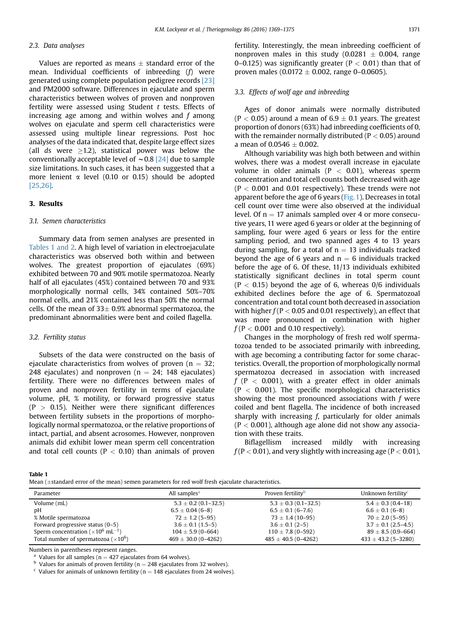### 2.3. Data analyses

Values are reported as means  $\pm$  standard error of the mean. Individual coefficients of inbreeding (f) were generated using complete population pedigree records [\[23\]](#page-6-0) and PM2000 software. Differences in ejaculate and sperm characteristics between wolves of proven and nonproven fertility were assessed using Student  $t$  tests. Effects of increasing age among and within wolves and f among wolves on ejaculate and sperm cell characteristics were assessed using multiple linear regressions. Post hoc analyses of the data indicated that, despite large effect sizes (all ds were  $>1.2$ ), statistical power was below the conventionally acceptable level of  $\sim$  0.8 [\[24\]](#page-6-0) due to sample size limitations. In such cases, it has been suggested that a more lenient  $\alpha$  level (0.10 or 0.15) should be adopted [\[25,26\]](#page-6-0).

#### 3. Results

## 3.1. Semen characteristics

Summary data from semen analyses are presented in Tables 1 and 2. A high level of variation in electroejaculate characteristics was observed both within and between wolves. The greatest proportion of ejaculates (69%) exhibited between 70 and 90% motile spermatozoa. Nearly half of all ejaculates (45%) contained between 70 and 93% morphologically normal cells, 34% contained 50%–70% normal cells, and 21% contained less than 50% the normal cells. Of the mean of  $33\pm 0.9%$  abnormal spermatozoa, the predominant abnormalities were bent and coiled flagella.

#### 3.2. Fertility status

Subsets of the data were constructed on the basis of ejaculate characteristics from wolves of proven ( $n = 32$ ; 248 ejaculates) and nonproven ( $n = 24$ ; 148 ejaculates) fertility. There were no differences between males of proven and nonproven fertility in terms of ejaculate volume, pH, % motility, or forward progressive status  $(P > 0.15)$ . Neither were there significant differences between fertility subsets in the proportions of morphologically normal spermatozoa, or the relative proportions of intact, partial, and absent acrosomes. However, nonproven animals did exhibit lower mean sperm cell concentration and total cell counts ( $P < 0.10$ ) than animals of proven

fertility. Interestingly, the mean inbreeding coefficient of nonproven males in this study  $(0.0281 \pm 0.004, \text{ range})$ 0-0.125) was significantly greater ( $P < 0.01$ ) than that of proven males (0.0172  $\pm$  0.002, range 0–0.0605).

#### 3.3. Effects of wolf age and inbreeding

Ages of donor animals were normally distributed  $(P < 0.05)$  around a mean of  $6.9 \pm 0.1$  years. The greatest proportion of donors (63%) had inbreeding coefficients of 0, with the remainder normally distributed ( $P < 0.05$ ) around a mean of 0.0546  $\pm$  0.002.

Although variability was high both between and within wolves, there was a modest overall increase in ejaculate volume in older animals ( $P < 0.01$ ), whereas sperm concentration and total cell counts both decreased with age  $(P < 0.001$  and 0.01 respectively). These trends were not apparent before the age of 6 years [\(Fig. 1\)](#page-3-0). Decreases in total cell count over time were also observed at the individual level. Of  $n = 17$  animals sampled over 4 or more consecutive years, 11 were aged 6 years or older at the beginning of sampling, four were aged 6 years or less for the entire sampling period, and two spanned ages 4 to 13 years during sampling, for a total of  $n = 13$  individuals tracked beyond the age of 6 years and  $n = 6$  individuals tracked before the age of 6. Of these, 11/13 individuals exhibited statistically significant declines in total sperm count  $(P < 0.15)$  beyond the age of 6, whereas  $0/6$  individuals exhibited declines before the age of 6. Spermatozoal concentration and total count both decreased in association with higher  $f(P < 0.05$  and 0.01 respectively), an effect that was more pronounced in combination with higher  $f$  (P  $<$  0.001 and 0.10 respectively).

Changes in the morphology of fresh red wolf spermatozoa tended to be associated primarily with inbreeding, with age becoming a contributing factor for some characteristics. Overall, the proportion of morphologically normal spermatozoa decreased in association with increased  $f$  (P < 0.001), with a greater effect in older animals  $(P < 0.001)$ . The specific morphological characteristics showing the most pronounced associations with  $f$  were coiled and bent flagella. The incidence of both increased sharply with increasing  $f$ , particularly for older animals  $(P < 0.001)$ , although age alone did not show any association with these traits.

Biflagellism increased mildly with increasing  $f(P < 0.01)$ , and very slightly with increasing age (P  $< 0.01$ ),

Table 1

| Mean $(\pm$ standard error of the mean) semen parameters for red wolf fresh ejaculate characteristics. |  |
|--------------------------------------------------------------------------------------------------------|--|
|--------------------------------------------------------------------------------------------------------|--|

| Parameter                                                         | All samples <sup>a</sup> | Proven fertility <sup>b</sup> | Unknown fertility <sup>c</sup> |
|-------------------------------------------------------------------|--------------------------|-------------------------------|--------------------------------|
| Volume (mL)                                                       | $5.3 \pm 0.2$ (0.1-32.5) | $5.3 \pm 0.3$ (0.1-32.5)      | $5.4 \pm 0.3$ (0.4-18)         |
| рH                                                                | $6.5 \pm 0.04$ (6-8)     | $6.5 \pm 0.1$ (6-7.6)         | $6.6 \pm 0.1$ (6-8)            |
| % Motile spermatozoa                                              | $72 \pm 1.2$ (5-95)      | $73 \pm 1.4$ (10-95)          | $70 \pm 2.0$ (5-95)            |
| Forward progressive status (0–5)                                  | $3.6 \pm 0.1$ (1.5–5)    | $3.6 \pm 0.1$ (2-5)           | $3.7 \pm 0.1$ (2.5-4.5)        |
| Sperm concentration ( $\times$ 10 <sup>6</sup> mL <sup>-1</sup> ) | $104 \pm 5.9$ (0-664)    | $110 \pm 7.8$ (0-592)         | $89 \pm 8.5 (0.9 - 664)$       |
| Total number of spermatozoa ( $\times 10^6$ )                     | $469 \pm 30.0$ (0-4262)  | $485 \pm 40.5$ (0-4262)       | $433 \pm 43.2$ (5-3280)        |

Numbers in parentheses represent ranges.

<sup>a</sup> Values for all samples (n = 427 ejaculates from 64 wolves).<br><sup>b</sup> Values for animals of proven fertility (n = 248 ejaculates from 32 wolves).<br><sup>c</sup> Values for animals of unknown fertility (n = 148 ejaculates from 24 wolve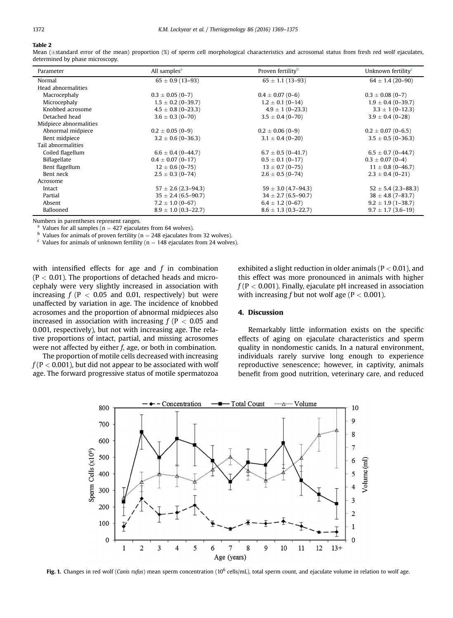# <span id="page-3-0"></span>Table 2

Mean ( $\pm$ standard error of the mean) proportion (%) of sperm cell morphological characteristics and acrosomal status from fresh red wolf ejaculates, determined by phase microscopy.

| Parameter              | All samples <sup>a</sup> | Proven fertility <sup>b</sup> | Unknown fertility <sup>c</sup> |
|------------------------|--------------------------|-------------------------------|--------------------------------|
| Normal                 | $65 \pm 0.9$ (13-93)     | $65 \pm 1.1$ (13-93)          | $64 \pm 1.4$ (20-90)           |
| Head abnormalities     |                          |                               |                                |
| Macrocephaly           | $0.3 \pm 0.05$ (0-7)     | $0.4 \pm 0.07$ (0-6)          | $0.3 \pm 0.08$ (0-7)           |
| Microcephaly           | $1.5 \pm 0.2$ (0-39.7)   | $1.2 \pm 0.1$ (0-14)          | $1.9 \pm 0.4$ (0-39.7)         |
| Knobbed acrosome       | $4.5 \pm 0.8$ (0-23.3)   | $4.9 \pm 1 (0 - 23.3)$        | $3.3 \pm 1 (0 - 12.3)$         |
| Detached head          | $3.6 \pm 0.3$ (0-70)     | $3.5 \pm 0.4$ (0-70)          | $3.9 \pm 0.4$ (0-28)           |
| Midpiece abnormalities |                          |                               |                                |
| Abnormal midpiece      | $0.2 \pm 0.05$ (0-9)     | $0.2 \pm 0.06$ (0-9)          | $0.2 \pm 0.07$ (0-6.5)         |
| Bent midpiece          | $3.2 \pm 0.6$ (0-36.3)   | $3.1 \pm 0.4$ (0-20)          | $3.5 \pm 0.5$ (0-36.3)         |
| Tail abnormalities     |                          |                               |                                |
| Coiled flagellum       | $6.6 \pm 0.4$ (0-44.7)   | $6.7 \pm 0.5$ (0-41.7)        | $6.5 \pm 0.7$ (0-44.7)         |
| Biflagellate           | $0.4 \pm 0.07$ (0-17)    | $0.5 \pm 0.1$ (0-17)          | $0.3 \pm 0.07$ (0-4)           |
| Bent flagellum         | $12 \pm 0.6$ (0-75)      | $13 \pm 0.7$ (0-75)           | $11 \pm 0.8$ (0-46.7)          |
| Bent neck              | $2.5 \pm 0.3$ (0-74)     | $2.6 \pm 0.5$ (0-74)          | $2.3 \pm 0.4$ (0-21)           |
| Acrosome               |                          |                               |                                |
| Intact                 | $57 \pm 2.6$ (2.3-94.3)  | $59 \pm 3.0$ (4.7–94.3)       | $52 \pm 5.4$ (2.3–88.3)        |
| Partial                | $35 \pm 2.4$ (6.5–90.7)  | $34 \pm 2.7$ (6.5–90.7)       | $38 \pm 4.8$ (7-83.7)          |
| Absent                 | $7.2 \pm 1.0$ (0-67)     | $6.4 \pm 1.2$ (0-67)          | $9.2 \pm 1.9(1 - 38.7)$        |
| Ballooned              | $8.9 \pm 1.0$ (0.3-22.7) | $8.6 \pm 1.3$ (0.3-22.7)      | $9.7 \pm 1.7$ (3.6-19)         |

Numbers in parentheses represent ranges.

<sup>a</sup> Values for all samples (n = 427 ejaculates from 64 wolves).<br><sup>b</sup> Values for animals of proven fertility (n = 248 ejaculates from 32 wolves). c Values for animals of unknown fertility (n = 148 ejaculates from 24 wolves)

with intensified effects for age and  $f$  in combination  $(P < 0.01)$ . The proportions of detached heads and microcephaly were very slightly increased in association with increasing  $f(P < 0.05$  and 0.01, respectively) but were unaffected by variation in age. The incidence of knobbed acrosomes and the proportion of abnormal midpieces also increased in association with increasing  $f(P < 0.05$  and 0.001, respectively), but not with increasing age. The relative proportions of intact, partial, and missing acrosomes were not affected by either f, age, or both in combination.

The proportion of motile cells decreased with increasing  $f(P < 0.001)$ , but did not appear to be associated with wolf age. The forward progressive status of motile spermatozoa

exhibited a slight reduction in older animals ( $P < 0.01$ ), and this effect was more pronounced in animals with higher  $f$  (P  $<$  0.001). Finally, ejaculate pH increased in association with increasing f but not wolf age ( $P < 0.001$ ).

## 4. Discussion

Remarkably little information exists on the specific effects of aging on ejaculate characteristics and sperm quality in nondomestic canids. In a natural environment, individuals rarely survive long enough to experience reproductive senescence; however, in captivity, animals benefit from good nutrition, veterinary care, and reduced



Fig. 1. Changes in red wolf (Canis rufus) mean sperm concentration (10<sup>6</sup> cells/mL), total sperm count, and ejaculate volume in relation to wolf age.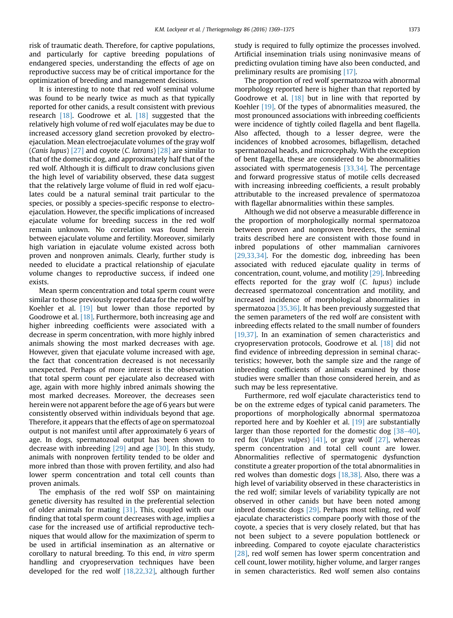risk of traumatic death. Therefore, for captive populations, and particularly for captive breeding populations of endangered species, understanding the effects of age on reproductive success may be of critical importance for the optimization of breeding and management decisions.

It is interesting to note that red wolf seminal volume was found to be nearly twice as much as that typically reported for other canids, a result consistent with previous research [\[18\]](#page-6-0). Goodrowe et al. [\[18\]](#page-6-0) suggested that the relatively high volume of red wolf ejaculates may be due to increased accessory gland secretion provoked by electroejaculation. Mean electroejaculate volumes of the gray wolf (Canis lupus)  $[27]$  and coyote (C. latrans)  $[28]$  are similar to that of the domestic dog, and approximately half that of the red wolf. Although it is difficult to draw conclusions given the high level of variability observed, these data suggest that the relatively large volume of fluid in red wolf ejaculates could be a natural seminal trait particular to the species, or possibly a species-specific response to electroejaculation. However, the specific implications of increased ejaculate volume for breeding success in the red wolf remain unknown. No correlation was found herein between ejaculate volume and fertility. Moreover, similarly high variation in ejaculate volume existed across both proven and nonproven animals. Clearly, further study is needed to elucidate a practical relationship of ejaculate volume changes to reproductive success, if indeed one exists.

Mean sperm concentration and total sperm count were similar to those previously reported data for the red wolf by Koehler et al. [\[19\]](#page-6-0) but lower than those reported by Goodrowe et al. [\[18\].](#page-6-0) Furthermore, both increasing age and higher inbreeding coefficients were associated with a decrease in sperm concentration, with more highly inbred animals showing the most marked decreases with age. However, given that ejaculate volume increased with age, the fact that concentration decreased is not necessarily unexpected. Perhaps of more interest is the observation that total sperm count per ejaculate also decreased with age, again with more highly inbred animals showing the most marked decreases. Moreover, the decreases seen herein were not apparent before the age of 6 years but were consistently observed within individuals beyond that age. Therefore, it appears that the effects of age on spermatozoal output is not manifest until after approximately 6 years of age. In dogs, spermatozoal output has been shown to decrease with inbreeding  $[29]$  and age  $[30]$ . In this study, animals with nonproven fertility tended to be older and more inbred than those with proven fertility, and also had lower sperm concentration and total cell counts than proven animals.

The emphasis of the red wolf SSP on maintaining genetic diversity has resulted in the preferential selection of older animals for mating [\[31\].](#page-6-0) This, coupled with our finding that total sperm count decreases with age, implies a case for the increased use of artificial reproductive techniques that would allow for the maximization of sperm to be used in artificial insemination as an alternative or corollary to natural breeding. To this end, in vitro sperm handling and cryopreservation techniques have been developed for the red wolf [\[18,22,32\]](#page-6-0), although further study is required to fully optimize the processes involved. Artificial insemination trials using noninvasive means of predicting ovulation timing have also been conducted, and preliminary results are promising [\[17\]](#page-6-0).

The proportion of red wolf spermatozoa with abnormal morphology reported here is higher than that reported by Goodrowe et al.  $[18]$  but in line with that reported by Koehler [\[19\].](#page-6-0) Of the types of abnormalities measured, the most pronounced associations with inbreeding coefficients were incidence of tightly coiled flagella and bent flagella. Also affected, though to a lesser degree, were the incidences of knobbed acrosomes, biflagellism, detached spermatozoal heads, and microcephaly. With the exception of bent flagella, these are considered to be abnormalities associated with spermatogenesis [\[33,34\].](#page-6-0) The percentage and forward progressive status of motile cells decreased with increasing inbreeding coefficients, a result probably attributable to the increased prevalence of spermatozoa with flagellar abnormalities within these samples.

Although we did not observe a measurable difference in the proportion of morphologically normal spermatozoa between proven and nonproven breeders, the seminal traits described here are consistent with those found in inbred populations of other mammalian carnivores [\[29,33,34\].](#page-6-0) For the domestic dog, inbreeding has been associated with reduced ejaculate quality in terms of concentration, count, volume, and motility [\[29\]](#page-6-0). Inbreeding effects reported for the gray wolf (C. lupus) include decreased spermatozoal concentration and motility, and increased incidence of morphological abnormalities in spermatozoa [\[35,36\]](#page-6-0). It has been previously suggested that the semen parameters of the red wolf are consistent with inbreeding effects related to the small number of founders [\[19,37\].](#page-6-0) In an examination of semen characteristics and cryopreservation protocols, Goodrowe et al. [\[18\]](#page-6-0) did not find evidence of inbreeding depression in seminal characteristics; however, both the sample size and the range of inbreeding coefficients of animals examined by those studies were smaller than those considered herein, and as such may be less representative.

Furthermore, red wolf ejaculate characteristics tend to be on the extreme edges of typical canid parameters. The proportions of morphologically abnormal spermatozoa reported here and by Koehler et al. [\[19\]](#page-6-0) are substantially larger than those reported for the domestic dog [38–[40\]](#page-6-0), red fox (Vulpes vulpes)  $[41]$ , or gray wolf  $[27]$ , whereas sperm concentration and total cell count are lower. Abnormalities reflective of spermatogenic dysfunction constitute a greater proportion of the total abnormalities in red wolves than domestic dogs  $[18,38]$ . Also, there was a high level of variability observed in these characteristics in the red wolf; similar levels of variability typically are not observed in other canids but have been noted among inbred domestic dogs [\[29\].](#page-6-0) Perhaps most telling, red wolf ejaculate characteristics compare poorly with those of the coyote, a species that is very closely related, but that has not been subject to a severe population bottleneck or inbreeding. Compared to coyote ejaculate characteristics [\[28\]](#page-6-0), red wolf semen has lower sperm concentration and cell count, lower motility, higher volume, and larger ranges in semen characteristics. Red wolf semen also contains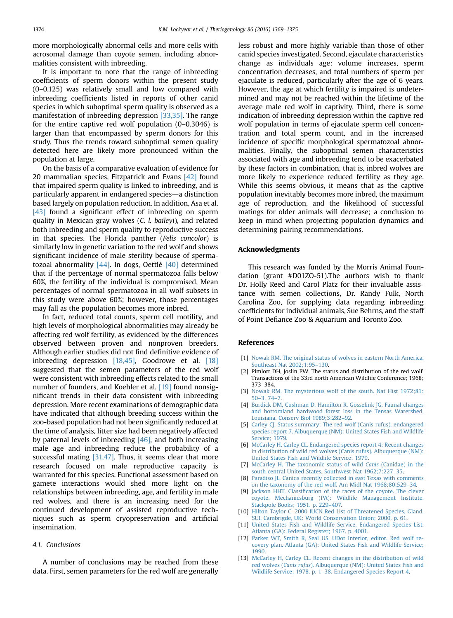<span id="page-5-0"></span>more morphologically abnormal cells and more cells with acrosomal damage than coyote semen, including abnormalities consistent with inbreeding.

It is important to note that the range of inbreeding coefficients of sperm donors within the present study (0–0.125) was relatively small and low compared with inbreeding coefficients listed in reports of other canid species in which suboptimal sperm quality is observed as a manifestation of inbreeding depression [\[33,35\].](#page-6-0) The range for the entire captive red wolf population (0–0.3046) is larger than that encompassed by sperm donors for this study. Thus the trends toward suboptimal semen quality detected here are likely more pronounced within the population at large.

On the basis of a comparative evaluation of evidence for 20 mammalian species, Fitzpatrick and Evans  $[42]$  found that impaired sperm quality is linked to inbreeding, and is particularly apparent in endangered species—a distinction based largely on population reduction. In addition, Asa et al. [\[43\]](#page-6-0) found a significant effect of inbreeding on sperm quality in Mexican gray wolves (C. l. baileyi), and related both inbreeding and sperm quality to reproductive success in that species. The Florida panther (Felis concolor) is similarly low in genetic variation to the red wolf and shows significant incidence of male sterility because of spermatozoal abnormality  $[44]$ . In dogs, Oettlé  $[40]$  determined that if the percentage of normal spermatozoa falls below 60%, the fertility of the individual is compromised. Mean percentages of normal spermatozoa in all wolf subsets in this study were above 60%; however, those percentages may fall as the population becomes more inbred.

In fact, reduced total counts, sperm cell motility, and high levels of morphological abnormalities may already be affecting red wolf fertility, as evidenced by the differences observed between proven and nonproven breeders. Although earlier studies did not find definitive evidence of inbreeding depression [\[18,45\],](#page-6-0) Goodrowe et al. [\[18\]](#page-6-0) suggested that the semen parameters of the red wolf were consistent with inbreeding effects related to the small number of founders, and Koehler et al. [\[19\]](#page-6-0) found nonsignificant trends in their data consistent with inbreeding depression. More recent examinations of demographic data have indicated that although breeding success within the zoo-based population had not been significantly reduced at the time of analysis, litter size had been negatively affected by paternal levels of inbreeding  $[46]$ , and both increasing male age and inbreeding reduce the probability of a successful mating  $[31,47]$ . Thus, it seems clear that more research focused on male reproductive capacity is warranted for this species. Functional assessment based on gamete interactions would shed more light on the relationships between inbreeding, age, and fertility in male red wolves, and there is an increasing need for the continued development of assisted reproductive techniques such as sperm cryopreservation and artificial insemination.

#### 4.1. Conclusions

A number of conclusions may be reached from these data. First, semen parameters for the red wolf are generally less robust and more highly variable than those of other canid species investigated. Second, ejaculate characteristics change as individuals age: volume increases, sperm concentration decreases, and total numbers of sperm per ejaculate is reduced, particularly after the age of 6 years. However, the age at which fertility is impaired is undetermined and may not be reached within the lifetime of the average male red wolf in captivity. Third, there is some indication of inbreeding depression within the captive red wolf population in terms of ejaculate sperm cell concentration and total sperm count, and in the increased incidence of specific morphological spermatozoal abnormalities. Finally, the suboptimal semen characteristics associated with age and inbreeding tend to be exacerbated by these factors in combination, that is, inbred wolves are more likely to experience reduced fertility as they age. While this seems obvious, it means that as the captive population inevitably becomes more inbred, the maximum age of reproduction, and the likelihood of successful matings for older animals will decrease; a conclusion to keep in mind when projecting population dynamics and determining pairing recommendations.

#### Acknowledgments

This research was funded by the Morris Animal Foundation (grant #D01ZO-51).The authors wish to thank Dr. Holly Reed and Carol Platz for their invaluable assistance with semen collections, Dr. Randy Fulk, North Carolina Zoo, for supplying data regarding inbreeding coefficients for individual animals, Sue Behrns, and the staff of Point Defiance Zoo & Aquarium and Toronto Zoo.

#### References

- [1] [Nowak RM. The original status of wolves in eastern North America.](http://refhub.elsevier.com/S0093-691X(16)30123-6/sref1) [Southeast Nat 2002;1:95](http://refhub.elsevier.com/S0093-691X(16)30123-6/sref1)–130.
- [2] Pimlott DH, Joslin PW. The status and distribution of the red wolf. Transactions of the 33rd north American Wildlife Conference; 1968; 373–384.
- [3] [Nowak RM. The mysterious wolf of the south. Nat Hist 1972;81:](http://refhub.elsevier.com/S0093-691X(16)30123-6/sref3) 50–[3. 74](http://refhub.elsevier.com/S0093-691X(16)30123-6/sref3)–7.
- [4] [Burdick DM, Cushman D, Hamilton R, Gosselink JG. Faunal changes](http://refhub.elsevier.com/S0093-691X(16)30123-6/sref4) [and bottomland hardwood forest loss in the Tensas Watershed,](http://refhub.elsevier.com/S0093-691X(16)30123-6/sref4) [Louisiana. Conserv Biol 1989;3:282](http://refhub.elsevier.com/S0093-691X(16)30123-6/sref4)–92.
- [5] [Carley CJ. Status summary: The red wolf \(Canis rufus\), endangered](http://refhub.elsevier.com/S0093-691X(16)30123-6/sref5) [species report 7. Albuquerque \(NM\): United States Fish and Wildlife](http://refhub.elsevier.com/S0093-691X(16)30123-6/sref5) [Service; 1979](http://refhub.elsevier.com/S0093-691X(16)30123-6/sref5).
- [6] [McCarley H, Carley CL. Endangered species report 4: Recent changes](http://refhub.elsevier.com/S0093-691X(16)30123-6/sref6) [in distribution of wild red wolves \(Canis rufus\). Albuquerque \(NM\):](http://refhub.elsevier.com/S0093-691X(16)30123-6/sref6) [United States Fish and Wildlife Service; 1979](http://refhub.elsevier.com/S0093-691X(16)30123-6/sref6).
- [7] [McCarley H. The taxonomic status of wild](http://refhub.elsevier.com/S0093-691X(16)30123-6/sref7) Canis (Canidae) in the [south central United States. Southwest Nat 1962;7:227](http://refhub.elsevier.com/S0093-691X(16)30123-6/sref7)–35.
- [8] [Paradiso JL. Canids recently collected in east Texas with comments](http://refhub.elsevier.com/S0093-691X(16)30123-6/sref8) [on the taxonomy of the red wolf. Am Midl Nat 1968;80:529](http://refhub.elsevier.com/S0093-691X(16)30123-6/sref8)–34.
- [9] Jackson HHT. Classifi[cation of the races of the coyote. The clever](http://refhub.elsevier.com/S0093-691X(16)30123-6/sref9) [coyote. Mechanicsburg \(PA\): Wildlife Management Institute,](http://refhub.elsevier.com/S0093-691X(16)30123-6/sref9) [Stackpole Books; 1951. p. 229](http://refhub.elsevier.com/S0093-691X(16)30123-6/sref9)–407.
- [10] [Hilton-Taylor C. 2000 IUCN Red List of Threatened Species. Gland,](http://refhub.elsevier.com/S0093-691X(16)30123-6/sref10) [SUI, Cambrigde, UK: World Conservation Union; 2000. p. 61.](http://refhub.elsevier.com/S0093-691X(16)30123-6/sref10)
- [11] [United States Fish and Wildlife Service. Endangered Species List.](http://refhub.elsevier.com/S0093-691X(16)30123-6/sref11) [Atlanta \(GA\): Federal Register; 1967. p. 4001.](http://refhub.elsevier.com/S0093-691X(16)30123-6/sref11)
- [12] Parker WT, Smith R, Seal US, UDot Interior, editor, Red wolf re[covery plan. Atlanta \(GA\): United States Fish and Wildlife Service;](http://refhub.elsevier.com/S0093-691X(16)30123-6/sref12) [1990.](http://refhub.elsevier.com/S0093-691X(16)30123-6/sref12)
- [13] [McCarley H, Carley CL. Recent changes in the distribution of wild](http://refhub.elsevier.com/S0093-691X(16)30123-6/sref13) red wolves (Canis rufus[\). Albuquerque \(NM\): United States Fish and](http://refhub.elsevier.com/S0093-691X(16)30123-6/sref13) Wildlife Service; 1978. p. 1–[38. Endangered Species Report 4.](http://refhub.elsevier.com/S0093-691X(16)30123-6/sref13)